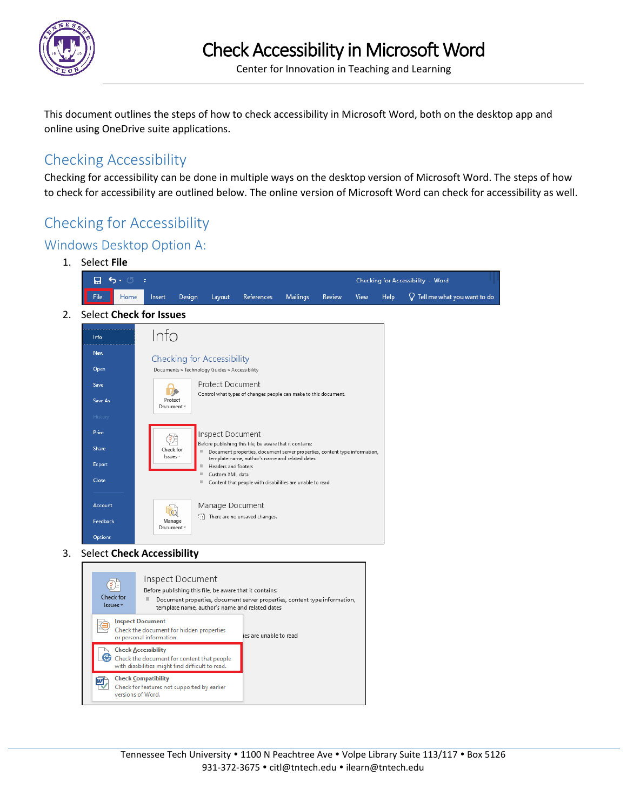

Center for Innovation in Teaching and Learning

This document outlines the steps of how to check accessibility in Microsoft Word, both on the desktop app and online using OneDrive suite applications.

## Checking Accessibility

Checking for accessibility can be done in multiple ways on the desktop version of Microsoft Word. The steps of how to check for accessibility are outlined below. The online version of Microsoft Word can check for accessibility as well.

# Checking for Accessibility

## Windows Desktop Option A:

1. Select **File**  $H$  5  $\cdot$  0 Checking for Accessibility - Word File Home Insert Design Layout References Mailings Review View Help  $\mathcal Q$  Tell me what you want to do 2. Select **Check for Issues**  $lnfo$  $lnf<sub>o</sub>$ New **Checking for Accessibility** Open Documents » Technology Guides » Accessibility Protect Document Save D Control what types of changes people can make to this document. Protect Save As Document \* Print Inspect Document  $\bigcirc$ Before publishing this file, be aware that it contains: Share Check for Document properties, document server properties, content type information, Issues · template name, author's name and related dates Export Headers and footers Custom XMI data Close  $\blacksquare$  Content that people with disabilities are unable to read Account Manage Document **To** There are no unsaved changes. Manage Feedback Document<sup>:</sup> Options 3. Select **Check Accessibility**

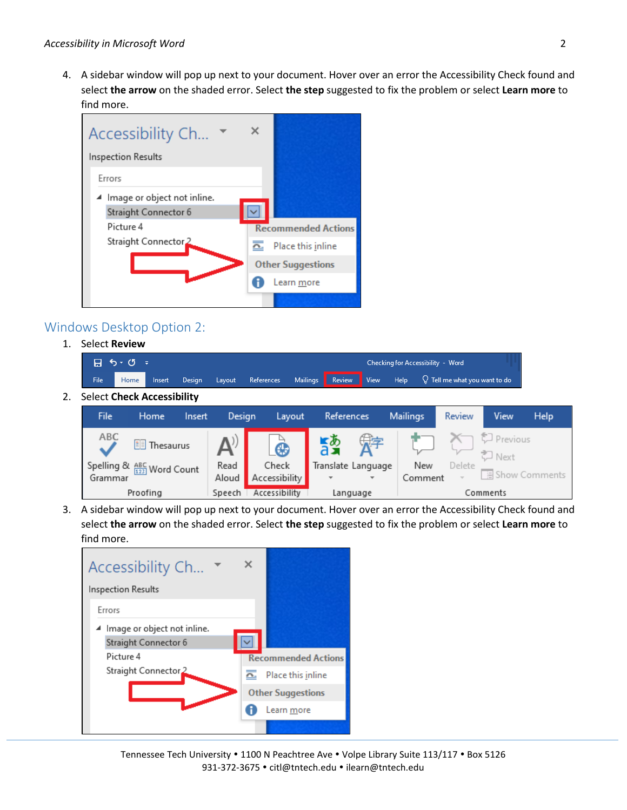4. A sidebar window will pop up next to your document. Hover over an error the Accessibility Check found and select **the arrow** on the shaded error. Select **the step** suggested to fix the problem or select **Learn more** to find more.



#### Windows Desktop Option 2:

1. Select **Review**

| ା <b>ମା ଚ</b> ∘ ଔ  ≑ |      |  |               |  |  |  |  |  | Checking for Accessibility - Word |                                                                               |  |  |
|----------------------|------|--|---------------|--|--|--|--|--|-----------------------------------|-------------------------------------------------------------------------------|--|--|
| <b>File</b>          | Home |  | Insert Design |  |  |  |  |  |                                   | the Layout References Mailings Review View Help Q Tell me what you want to do |  |  |

2. Select **Check Accessibility**

| <b>File</b> | Home                                           | Insert | Design | Layout              | References         |              | <b>Mailings</b> | Review | View               | Help            |
|-------------|------------------------------------------------|--------|--------|---------------------|--------------------|--------------|-----------------|--------|--------------------|-----------------|
| ABC         | <b>II</b> Thesaurus                            |        |        | $\bullet$           | $\frac{1}{6}$      | 定            |                 |        | Previous<br>こ Next |                 |
|             | Spelling & $\frac{\text{ABC}}{123}$ Word Count |        | Read   | Check               | Translate Language |              | New             | Delete |                    |                 |
| Grammar     |                                                |        |        | Aloud Accessibility |                    | $\mathbf{v}$ | Comment         |        |                    | □ Show Comments |
|             | Proofing                                       |        | Speech | Accessibility       |                    | Language     |                 |        | Comments           |                 |

3. A sidebar window will pop up next to your document. Hover over an error the Accessibility Check found and select **the arrow** on the shaded error. Select **the step** suggested to fix the problem or select **Learn more** to find more.